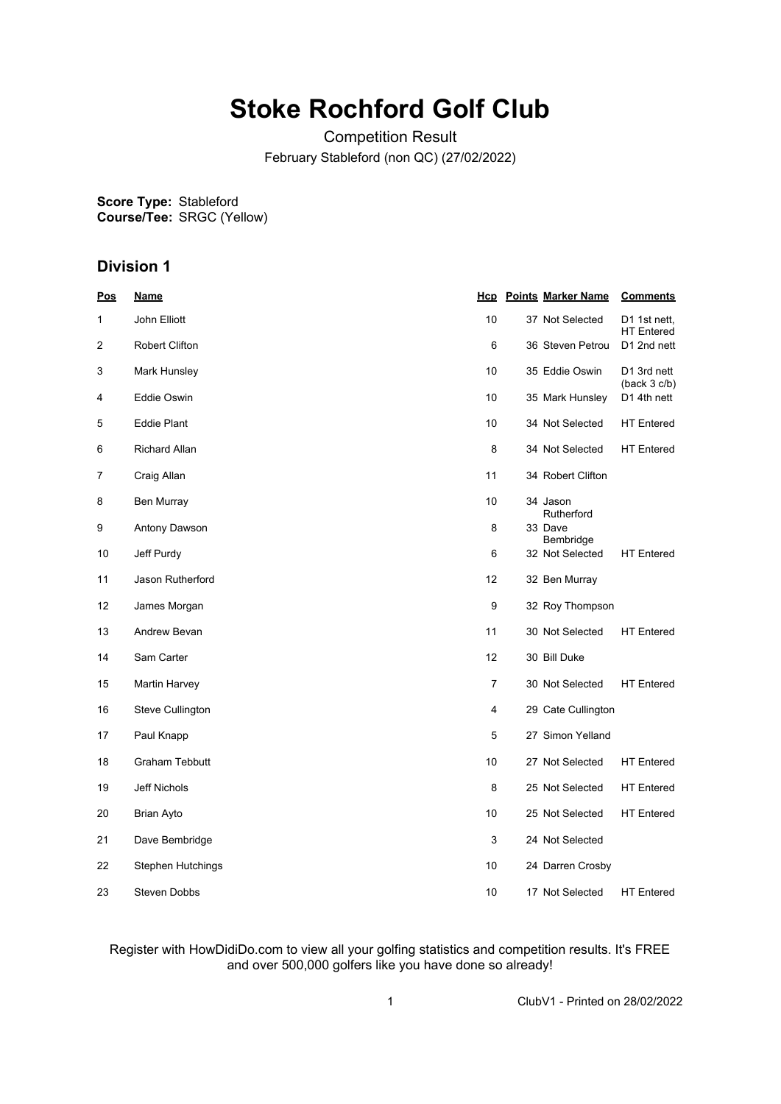## **Stoke Rochford Golf Club**

Competition Result February Stableford (non QC) (27/02/2022)

**Score Type: Course/Tee:** Stableford SRGC (Yellow)

## **Division 1**

| <b>Pos</b> | <u>Name</u>           |    | <b>Hcp</b> Points Marker Name | <b>Comments</b>                   |
|------------|-----------------------|----|-------------------------------|-----------------------------------|
| 1          | John Elliott          | 10 | 37 Not Selected               | D1 1st nett,<br><b>HT</b> Entered |
| 2          | <b>Robert Clifton</b> | 6  | 36 Steven Petrou              | D1 2nd nett                       |
| 3          | Mark Hunsley          | 10 | 35 Eddie Oswin                | D1 3rd nett<br>(back 3 c/b)       |
| 4          | <b>Eddie Oswin</b>    | 10 | 35 Mark Hunsley               | D1 4th nett                       |
| 5          | <b>Eddie Plant</b>    | 10 | 34 Not Selected               | <b>HT</b> Entered                 |
| 6          | <b>Richard Allan</b>  | 8  | 34 Not Selected               | <b>HT</b> Entered                 |
| 7          | Craig Allan           | 11 | 34 Robert Clifton             |                                   |
| 8          | Ben Murray            | 10 | 34 Jason<br>Rutherford        |                                   |
| 9          | Antony Dawson         | 8  | 33 Dave<br>Bembridge          |                                   |
| 10         | Jeff Purdy            | 6  | 32 Not Selected               | <b>HT</b> Entered                 |
| 11         | Jason Rutherford      | 12 | 32 Ben Murray                 |                                   |
| 12         | James Morgan          | 9  | 32 Roy Thompson               |                                   |
| 13         | Andrew Bevan          | 11 | 30 Not Selected               | <b>HT</b> Entered                 |
| 14         | Sam Carter            | 12 | 30 Bill Duke                  |                                   |
| 15         | Martin Harvey         | 7  | 30 Not Selected               | <b>HT</b> Entered                 |
| 16         | Steve Cullington      | 4  | 29 Cate Cullington            |                                   |
| 17         | Paul Knapp            | 5  | 27 Simon Yelland              |                                   |
| 18         | <b>Graham Tebbutt</b> | 10 | 27 Not Selected               | <b>HT</b> Entered                 |
| 19         | Jeff Nichols          | 8  | 25 Not Selected               | <b>HT</b> Entered                 |
| 20         | <b>Brian Ayto</b>     | 10 | 25 Not Selected               | <b>HT</b> Entered                 |
| 21         | Dave Bembridge        | 3  | 24 Not Selected               |                                   |
| 22         | Stephen Hutchings     | 10 | 24 Darren Crosby              |                                   |
| 23         | Steven Dobbs          | 10 | 17 Not Selected               | <b>HT</b> Entered                 |

Register with HowDidiDo.com to view all your golfing statistics and competition results. It's FREE and over 500,000 golfers like you have done so already!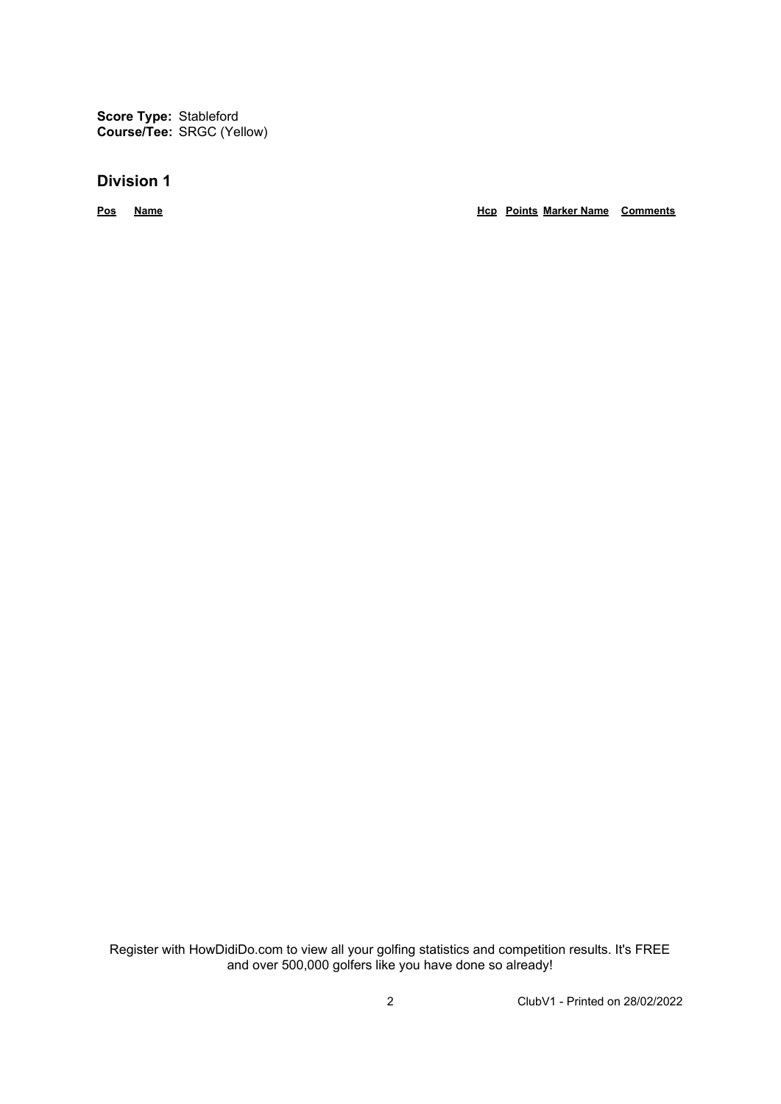**Score Type:** Stableford **Course/Tee:** SRGC (Yellow)

## **Division 1**

**Pos Name Hcp Points Marker Name Comments**

Register with HowDidiDo.com to view all your golfing statistics and competition results. It's FREE and over 500,000 golfers like you have done so already!